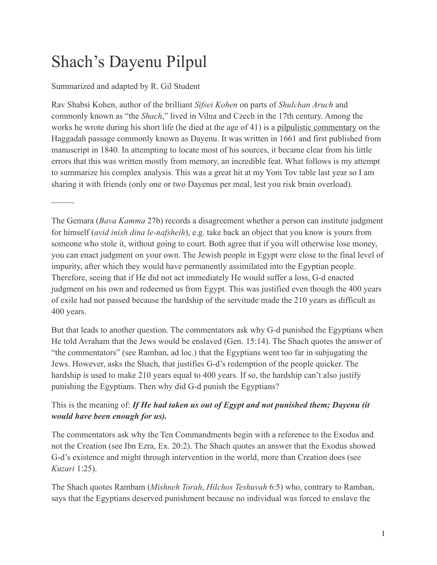# Shach's Dayenu Pilpul

Summarized and adapted by R. Gil Student

Rav Shabsi Kohen, author of the brilliant *Sifsei Kohen* on parts of *Shulchan Aruch* and commonly known as "the *Shach*," lived in Vilna and Czech in the 17th century. Among the works he wrote during his short life (he died at the age of 41) is a [pilpulistic commentary](https://www.hebrewbooks.org/38527) on the Haggadah passage commonly known as Dayenu. It was written in 1661 and first published from manuscript in 1840. In attempting to locate most of his sources, it became clear from his little errors that this was written mostly from memory, an incredible feat. What follows is my attempt to summarize his complex analysis. This was a great hit at my Yom Tov table last year so I am sharing it with friends (only one or two Dayenus per meal, lest you risk brain overload).

 $\sim\sim\sim\sim\sim$ 

The Gemara (*Bava Kamma* 27b) records a disagreement whether a person can institute judgment for himself (*avid inish dina le-nafsheih*), e.g. take back an object that you know is yours from someone who stole it, without going to court. Both agree that if you will otherwise lose money, you can enact judgment on your own. The Jewish people in Egypt were close to the final level of impurity, after which they would have permanently assimilated into the Egyptian people. Therefore, seeing that if He did not act immediately He would suffer a loss, G-d enacted judgment on his own and redeemed us from Egypt. This was justified even though the 400 years of exile had not passed because the hardship of the servitude made the 210 years as difficult as 400 years.

But that leads to another question. The commentators ask why G-d punished the Egyptians when He told Avraham that the Jews would be enslaved (Gen. 15:14). The Shach quotes the answer of "the commentators" (see Ramban, ad loc.) that the Egyptians went too far in subjugating the Jews. However, asks the Shach, that justifies G-d's redemption of the people quicker. The hardship is used to make 210 years equal to 400 years. If so, the hardship can't also justify punishing the Egyptians. Then why did G-d punish the Egyptians?

## This is the meaning of: *If He had taken us out of Egypt and not punished them; Dayenu (it would have been enough for us).*

The commentators ask why the Ten Commandments begin with a reference to the Exodus and not the Creation (see Ibn Ezra, Ex. 20:2). The Shach quotes an answer that the Exodus showed G-d's existence and might through intervention in the world, more than Creation does (see *Kuzari* 1:25).

The Shach quotes Rambam (*Mishneh Torah*, *Hilchos Teshuvah* 6:5) who, contrary to Ramban, says that the Egyptians deserved punishment because no individual was forced to enslave the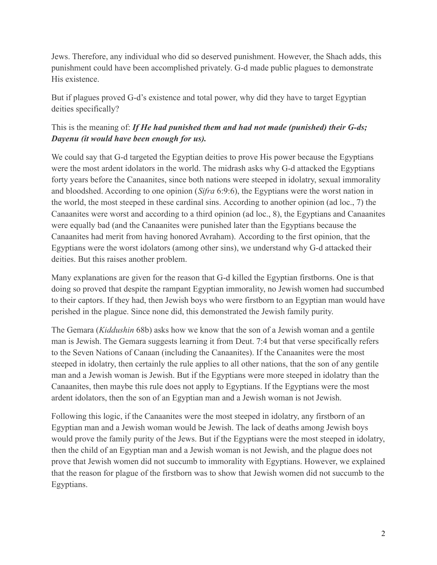Jews. Therefore, any individual who did so deserved punishment. However, the Shach adds, this punishment could have been accomplished privately. G-d made public plagues to demonstrate His existence.

But if plagues proved G-d's existence and total power, why did they have to target Egyptian deities specifically?

# This is the meaning of: *If He had punished them and had not made (punished) their G-ds; Dayenu (it would have been enough for us).*

We could say that G-d targeted the Egyptian deities to prove His power because the Egyptians were the most ardent idolators in the world. The midrash asks why G-d attacked the Egyptians forty years before the Canaanites, since both nations were steeped in idolatry, sexual immorality and bloodshed. According to one opinion (*Sifra* 6:9:6), the Egyptians were the worst nation in the world, the most steeped in these cardinal sins. According to another opinion (ad loc., 7) the Canaanites were worst and according to a third opinion (ad loc., 8), the Egyptians and Canaanites were equally bad (and the Canaanites were punished later than the Egyptians because the Canaanites had merit from having honored Avraham). According to the first opinion, that the Egyptians were the worst idolators (among other sins), we understand why G-d attacked their deities. But this raises another problem.

Many explanations are given for the reason that G-d killed the Egyptian firstborns. One is that doing so proved that despite the rampant Egyptian immorality, no Jewish women had succumbed to their captors. If they had, then Jewish boys who were firstborn to an Egyptian man would have perished in the plague. Since none did, this demonstrated the Jewish family purity.

The Gemara (*Kiddushin* 68b) asks how we know that the son of a Jewish woman and a gentile man is Jewish. The Gemara suggests learning it from Deut. 7:4 but that verse specifically refers to the Seven Nations of Canaan (including the Canaanites). If the Canaanites were the most steeped in idolatry, then certainly the rule applies to all other nations, that the son of any gentile man and a Jewish woman is Jewish. But if the Egyptians were more steeped in idolatry than the Canaanites, then maybe this rule does not apply to Egyptians. If the Egyptians were the most ardent idolators, then the son of an Egyptian man and a Jewish woman is not Jewish.

Following this logic, if the Canaanites were the most steeped in idolatry, any firstborn of an Egyptian man and a Jewish woman would be Jewish. The lack of deaths among Jewish boys would prove the family purity of the Jews. But if the Egyptians were the most steeped in idolatry, then the child of an Egyptian man and a Jewish woman is not Jewish, and the plague does not prove that Jewish women did not succumb to immorality with Egyptians. However, we explained that the reason for plague of the firstborn was to show that Jewish women did not succumb to the Egyptians.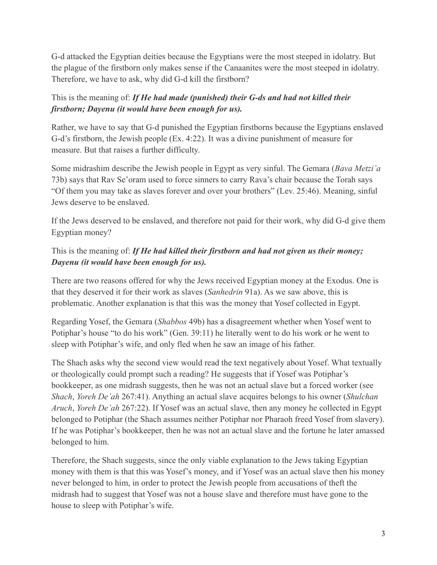G-d attacked the Egyptian deities because the Egyptians were the most steeped in idolatry. But the plague of the firstborn only makes sense if the Canaanites were the most steeped in idolatry. Therefore, we have to ask, why did G-d kill the firstborn?

This is the meaning of: *If He had made (punished) their G-ds and had not killed their firstborn; Dayenu (it would have been enough for us).*

Rather, we have to say that G-d punished the Egyptian firstborns because the Egyptians enslaved G-d's firstborn, the Jewish people (Ex. 4:22). It was a divine punishment of measure for measure. But that raises a further difficulty.

Some midrashim describe the Jewish people in Egypt as very sinful. The Gemara (*Bava Metzi'a* 73b) says that Rav Se'oram used to force sinners to carry Rava's chair because the Torah says "Of them you may take as slaves forever and over your brothers" (Lev. 25:46). Meaning, sinful Jews deserve to be enslaved.

If the Jews deserved to be enslaved, and therefore not paid for their work, why did G-d give them Egyptian money?

# This is the meaning of: *If He had killed their firstborn and had not given us their money; Dayenu (it would have been enough for us).*

There are two reasons offered for why the Jews received Egyptian money at the Exodus. One is that they deserved it for their work as slaves (*Sanhedrin* 91a). As we saw above, this is problematic. Another explanation is that this was the money that Yosef collected in Egypt.

Regarding Yosef, the Gemara (*Shabbos* 49b) has a disagreement whether when Yosef went to Potiphar's house "to do his work" (Gen. 39:11) he literally went to do his work or he went to sleep with Potiphar's wife, and only fled when he saw an image of his father.

The Shach asks why the second view would read the text negatively about Yosef. What textually or theologically could prompt such a reading? He suggests that if Yosef was Potiphar's bookkeeper, as one midrash suggests, then he was not an actual slave but a forced worker (see *Shach*, *Yoreh De'ah* 267:41). Anything an actual slave acquires belongs to his owner (*Shulchan Aruch*, *Yoreh De'ah* 267:22). If Yosef was an actual slave, then any money he collected in Egypt belonged to Potiphar (the Shach assumes neither Potiphar nor Pharaoh freed Yosef from slavery). If he was Potiphar's bookkeeper, then he was not an actual slave and the fortune he later amassed belonged to him.

Therefore, the Shach suggests, since the only viable explanation to the Jews taking Egyptian money with them is that this was Yosef's money, and if Yosef was an actual slave then his money never belonged to him, in order to protect the Jewish people from accusations of theft the midrash had to suggest that Yosef was not a house slave and therefore must have gone to the house to sleep with Potiphar's wife.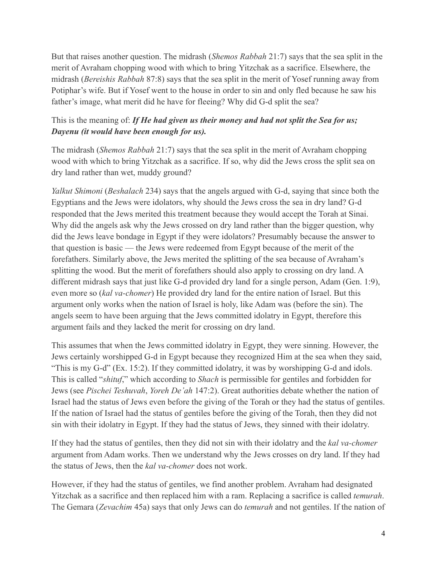But that raises another question. The midrash (*Shemos Rabbah* 21:7) says that the sea split in the merit of Avraham chopping wood with which to bring Yitzchak as a sacrifice. Elsewhere, the midrash (*Bereishis Rabbah* 87:8) says that the sea split in the merit of Yosef running away from Potiphar's wife. But if Yosef went to the house in order to sin and only fled because he saw his father's image, what merit did he have for fleeing? Why did G-d split the sea?

## This is the meaning of: *If He had given us their money and had not split the Sea for us; Dayenu (it would have been enough for us).*

The midrash (*Shemos Rabbah* 21:7) says that the sea split in the merit of Avraham chopping wood with which to bring Yitzchak as a sacrifice. If so, why did the Jews cross the split sea on dry land rather than wet, muddy ground?

*Yalkut Shimoni* (*Beshalach* 234) says that the angels argued with G-d, saying that since both the Egyptians and the Jews were idolators, why should the Jews cross the sea in dry land? G-d responded that the Jews merited this treatment because they would accept the Torah at Sinai. Why did the angels ask why the Jews crossed on dry land rather than the bigger question, why did the Jews leave bondage in Egypt if they were idolators? Presumably because the answer to that question is basic — the Jews were redeemed from Egypt because of the merit of the forefathers. Similarly above, the Jews merited the splitting of the sea because of Avraham's splitting the wood. But the merit of forefathers should also apply to crossing on dry land. A different midrash says that just like G-d provided dry land for a single person, Adam (Gen. 1:9), even more so (*kal va-chomer*) He provided dry land for the entire nation of Israel. But this argument only works when the nation of Israel is holy, like Adam was (before the sin). The angels seem to have been arguing that the Jews committed idolatry in Egypt, therefore this argument fails and they lacked the merit for crossing on dry land.

This assumes that when the Jews committed idolatry in Egypt, they were sinning. However, the Jews certainly worshipped G-d in Egypt because they recognized Him at the sea when they said, "This is my G-d" (Ex. 15:2). If they committed idolatry, it was by worshipping G-d and idols. This is called "*shituf*," which according to *Shach* is permissible for gentiles and forbidden for Jews (see *Pischei Teshuvah*, *Yoreh De'ah* 147:2). Great authorities debate whether the nation of Israel had the status of Jews even before the giving of the Torah or they had the status of gentiles. If the nation of Israel had the status of gentiles before the giving of the Torah, then they did not sin with their idolatry in Egypt. If they had the status of Jews, they sinned with their idolatry.

If they had the status of gentiles, then they did not sin with their idolatry and the *kal va-chomer* argument from Adam works. Then we understand why the Jews crosses on dry land. If they had the status of Jews, then the *kal va-chomer* does not work.

However, if they had the status of gentiles, we find another problem. Avraham had designated Yitzchak as a sacrifice and then replaced him with a ram. Replacing a sacrifice is called *temurah*. The Gemara (*Zevachim* 45a) says that only Jews can do *temurah* and not gentiles. If the nation of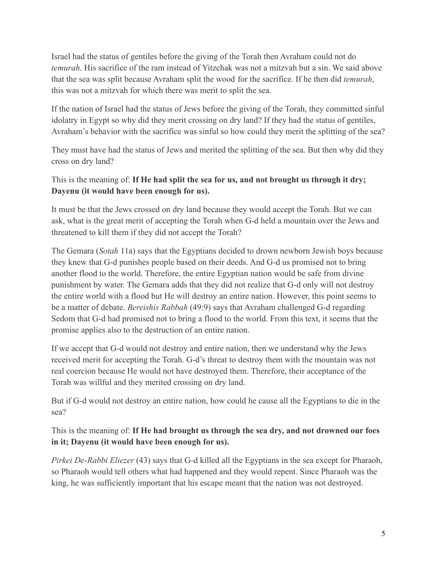Israel had the status of gentiles before the giving of the Torah then Avraham could not do *temurah*. His sacrifice of the ram instead of Yitzchak was not a mitzvah but a sin. We said above that the sea was split because Avraham split the wood for the sacrifice. If he then did *temurah*, this was not a mitzvah for which there was merit to split the sea.

If the nation of Israel had the status of Jews before the giving of the Torah, they committed sinful idolatry in Egypt so why did they merit crossing on dry land? If they had the status of gentiles, Avraham's behavior with the sacrifice was sinful so how could they merit the splitting of the sea?

They must have had the status of Jews and merited the splitting of the sea. But then why did they cross on dry land?

## This is the meaning of: **If He had split the sea for us, and not brought us through it dry; Dayenu (it would have been enough for us).**

It must be that the Jews crossed on dry land because they would accept the Torah. But we can ask, what is the great merit of accepting the Torah when G-d held a mountain over the Jews and threatened to kill them if they did not accept the Torah?

The Gemara (*Sotah* 11a) says that the Egyptians decided to drown newborn Jewish boys because they knew that G-d punishes people based on their deeds. And G-d us promised not to bring another flood to the world. Therefore, the entire Egyptian nation would be safe from divine punishment by water. The Gemara adds that they did not realize that G-d only will not destroy the entire world with a flood but He will destroy an entire nation. However, this point seems to be a matter of debate. *Bereishis Rabbah* (49:9) says that Avraham challenged G-d regarding Sedom that G-d had promised not to bring a flood to the world. From this text, it seems that the promise applies also to the destruction of an entire nation.

If we accept that G-d would not destroy and entire nation, then we understand why the Jews received merit for accepting the Torah. G-d's threat to destroy them with the mountain was not real coercion because He would not have destroyed them. Therefore, their acceptance of the Torah was willful and they merited crossing on dry land.

But if G-d would not destroy an entire nation, how could he cause all the Egyptians to die in the sea?

This is the meaning of: **If He had brought us through the sea dry, and not drowned our foes in it; Dayenu (it would have been enough for us).**

*Pirkei De-Rabbi Eliezer* (43) says that G-d killed all the Egyptians in the sea except for Pharaoh, so Pharaoh would tell others what had happened and they would repent. Since Pharaoh was the king, he was sufficiently important that his escape meant that the nation was not destroyed.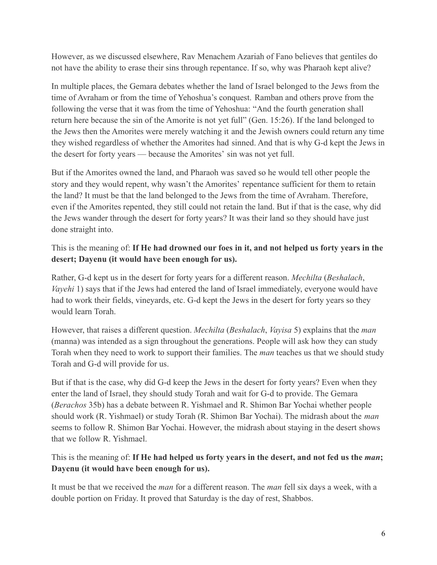However, as we discussed elsewhere, Rav Menachem Azariah of Fano believes that gentiles do not have the ability to erase their sins through repentance. If so, why was Pharaoh kept alive?

In multiple places, the Gemara debates whether the land of Israel belonged to the Jews from the time of Avraham or from the time of Yehoshua's conquest. Ramban and others prove from the following the verse that it was from the time of Yehoshua: "And the fourth generation shall return here because the sin of the Amorite is not yet full" (Gen. 15:26). If the land belonged to the Jews then the Amorites were merely watching it and the Jewish owners could return any time they wished regardless of whether the Amorites had sinned. And that is why G-d kept the Jews in the desert for forty years — because the Amorites' sin was not yet full.

But if the Amorites owned the land, and Pharaoh was saved so he would tell other people the story and they would repent, why wasn't the Amorites' repentance sufficient for them to retain the land? It must be that the land belonged to the Jews from the time of Avraham. Therefore, even if the Amorites repented, they still could not retain the land. But if that is the case, why did the Jews wander through the desert for forty years? It was their land so they should have just done straight into.

This is the meaning of: **If He had drowned our foes in it, and not helped us forty years in the desert; Dayenu (it would have been enough for us).**

Rather, G-d kept us in the desert for forty years for a different reason. *Mechilta* (*Beshalach*, *Vayehi* 1) says that if the Jews had entered the land of Israel immediately, everyone would have had to work their fields, vineyards, etc. G-d kept the Jews in the desert for forty years so they would learn Torah.

However, that raises a different question. *Mechilta* (*Beshalach*, *Vayisa* 5) explains that the *man* (manna) was intended as a sign throughout the generations. People will ask how they can study Torah when they need to work to support their families. The *man* teaches us that we should study Torah and G-d will provide for us.

But if that is the case, why did G-d keep the Jews in the desert for forty years? Even when they enter the land of Israel, they should study Torah and wait for G-d to provide. The Gemara (*Berachos* 35b) has a debate between R. Yishmael and R. Shimon Bar Yochai whether people should work (R. Yishmael) or study Torah (R. Shimon Bar Yochai). The midrash about the *man* seems to follow R. Shimon Bar Yochai. However, the midrash about staying in the desert shows that we follow R. Yishmael.

## This is the meaning of: **If He had helped us forty years in the desert, and not fed us the** *man***; Dayenu (it would have been enough for us).**

It must be that we received the *man* for a different reason. The *man* fell six days a week, with a double portion on Friday. It proved that Saturday is the day of rest, Shabbos.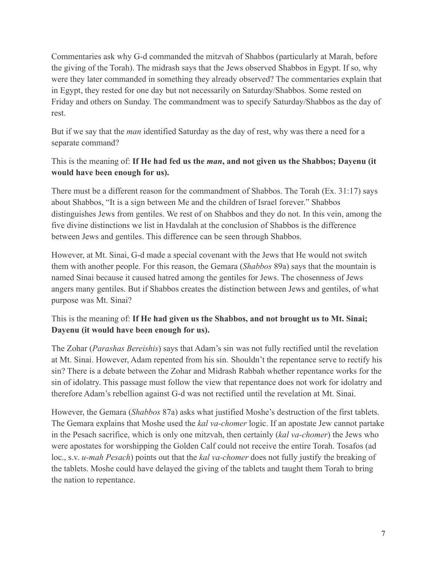Commentaries ask why G-d commanded the mitzvah of Shabbos (particularly at Marah, before the giving of the Torah). The midrash says that the Jews observed Shabbos in Egypt. If so, why were they later commanded in something they already observed? The commentaries explain that in Egypt, they rested for one day but not necessarily on Saturday/Shabbos. Some rested on Friday and others on Sunday. The commandment was to specify Saturday/Shabbos as the day of rest.

But if we say that the *man* identified Saturday as the day of rest, why was there a need for a separate command?

#### This is the meaning of: **If He had fed us the** *man***, and not given us the Shabbos; Dayenu (it would have been enough for us).**

There must be a different reason for the commandment of Shabbos. The Torah (Ex. 31:17) says about Shabbos, "It is a sign between Me and the children of Israel forever." Shabbos distinguishes Jews from gentiles. We rest of on Shabbos and they do not. In this vein, among the five divine distinctions we list in Havdalah at the conclusion of Shabbos is the difference between Jews and gentiles. This difference can be seen through Shabbos.

However, at Mt. Sinai, G-d made a special covenant with the Jews that He would not switch them with another people. For this reason, the Gemara (*Shabbos* 89a) says that the mountain is named Sinai because it caused hatred among the gentiles for Jews. The chosenness of Jews angers many gentiles. But if Shabbos creates the distinction between Jews and gentiles, of what purpose was Mt. Sinai?

#### This is the meaning of: **If He had given us the Shabbos, and not brought us to Mt. Sinai; Dayenu (it would have been enough for us).**

The Zohar (*Parashas Bereishis*) says that Adam's sin was not fully rectified until the revelation at Mt. Sinai. However, Adam repented from his sin. Shouldn't the repentance serve to rectify his sin? There is a debate between the Zohar and Midrash Rabbah whether repentance works for the sin of idolatry. This passage must follow the view that repentance does not work for idolatry and therefore Adam's rebellion against G-d was not rectified until the revelation at Mt. Sinai.

However, the Gemara (*Shabbos* 87a) asks what justified Moshe's destruction of the first tablets. The Gemara explains that Moshe used the *kal va-chomer* logic. If an apostate Jew cannot partake in the Pesach sacrifice, which is only one mitzvah, then certainly (*kal va-chomer*) the Jews who were apostates for worshipping the Golden Calf could not receive the entire Torah. Tosafos (ad loc., s.v. *u-mah Pesach*) points out that the *kal va-chomer* does not fully justify the breaking of the tablets. Moshe could have delayed the giving of the tablets and taught them Torah to bring the nation to repentance.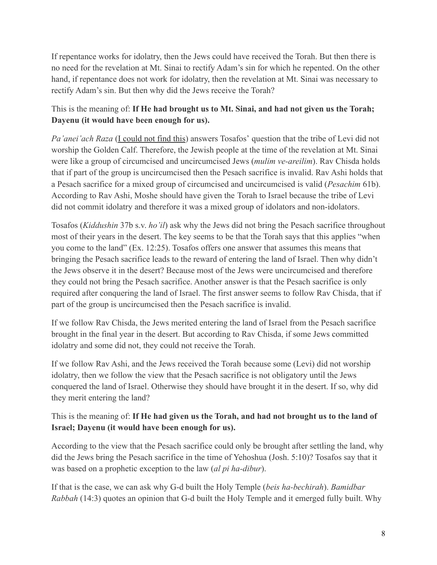If repentance works for idolatry, then the Jews could have received the Torah. But then there is no need for the revelation at Mt. Sinai to rectify Adam's sin for which he repented. On the other hand, if repentance does not work for idolatry, then the revelation at Mt. Sinai was necessary to rectify Adam's sin. But then why did the Jews receive the Torah?

## This is the meaning of: **If He had brought us to Mt. Sinai, and had not given us the Torah; Dayenu (it would have been enough for us).**

*Pa'anei'ach Raza* [\(I could not find this\)](https://www.torahmusings.com/2021/03/the-shakhs-dayenu-pilpul-part-3/%E2%80%9Chttps://hebrewbooks.org/pdfpager.aspx?req=39329&st=&pgnum=71&hilite=%E2%80%9C) answers Tosafos' question that the tribe of Levi did not worship the Golden Calf. Therefore, the Jewish people at the time of the revelation at Mt. Sinai were like a group of circumcised and uncircumcised Jews (*mulim ve-areilim*). Rav Chisda holds that if part of the group is uncircumcised then the Pesach sacrifice is invalid. Rav Ashi holds that a Pesach sacrifice for a mixed group of circumcised and uncircumcised is valid (*Pesachim* 61b). According to Rav Ashi, Moshe should have given the Torah to Israel because the tribe of Levi did not commit idolatry and therefore it was a mixed group of idolators and non-idolators.

Tosafos (*Kiddushin* 37b s.v. *ho'il*) ask why the Jews did not bring the Pesach sacrifice throughout most of their years in the desert. The key seems to be that the Torah says that this applies "when you come to the land" (Ex. 12:25). Tosafos offers one answer that assumes this means that bringing the Pesach sacrifice leads to the reward of entering the land of Israel. Then why didn't the Jews observe it in the desert? Because most of the Jews were uncircumcised and therefore they could not bring the Pesach sacrifice. Another answer is that the Pesach sacrifice is only required after conquering the land of Israel. The first answer seems to follow Rav Chisda, that if part of the group is uncircumcised then the Pesach sacrifice is invalid.

If we follow Rav Chisda, the Jews merited entering the land of Israel from the Pesach sacrifice brought in the final year in the desert. But according to Rav Chisda, if some Jews committed idolatry and some did not, they could not receive the Torah.

If we follow Rav Ashi, and the Jews received the Torah because some (Levi) did not worship idolatry, then we follow the view that the Pesach sacrifice is not obligatory until the Jews conquered the land of Israel. Otherwise they should have brought it in the desert. If so, why did they merit entering the land?

# This is the meaning of: **If He had given us the Torah, and had not brought us to the land of Israel; Dayenu (it would have been enough for us).**

According to the view that the Pesach sacrifice could only be brought after settling the land, why did the Jews bring the Pesach sacrifice in the time of Yehoshua (Josh. 5:10)? Tosafos say that it was based on a prophetic exception to the law (*al pi ha-dibur*).

If that is the case, we can ask why G-d built the Holy Temple (*beis ha-bechirah*). *Bamidbar Rabbah* (14:3) quotes an opinion that G-d built the Holy Temple and it emerged fully built. Why